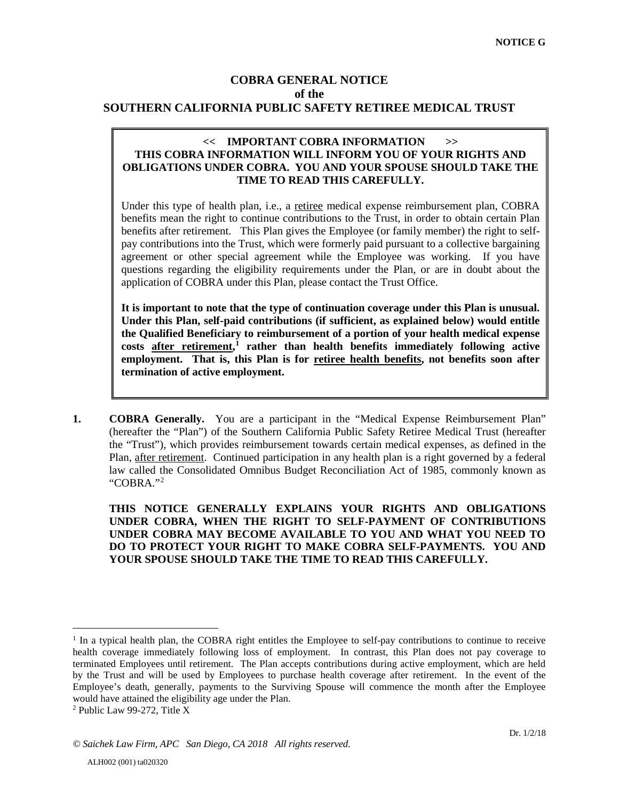# **COBRA GENERAL NOTICE of the SOUTHERN CALIFORNIA PUBLIC SAFETY RETIREE MEDICAL TRUST**

#### **<< IMPORTANT COBRA INFORMATION >> THIS COBRA INFORMATION WILL INFORM YOU OF YOUR RIGHTS AND OBLIGATIONS UNDER COBRA. YOU AND YOUR SPOUSE SHOULD TAKE THE TIME TO READ THIS CAREFULLY.**

Under this type of health plan, i.e., a retiree medical expense reimbursement plan, COBRA benefits mean the right to continue contributions to the Trust, in order to obtain certain Plan benefits after retirement. This Plan gives the Employee (or family member) the right to selfpay contributions into the Trust, which were formerly paid pursuant to a collective bargaining agreement or other special agreement while the Employee was working. If you have questions regarding the eligibility requirements under the Plan, or are in doubt about the application of COBRA under this Plan, please contact the Trust Office.

**It is important to note that the type of continuation coverage under this Plan is unusual. Under this Plan, self-paid contributions (if sufficient, as explained below) would entitle the Qualified Beneficiary to reimbursement of a portion of your health medical expense costs after retirement, [1](#page-0-0) rather than health benefits immediately following active employment. That is, this Plan is for retiree health benefits, not benefits soon after termination of active employment.**

**1. COBRA Generally.** You are a participant in the "Medical Expense Reimbursement Plan" (hereafter the "Plan") of the Southern California Public Safety Retiree Medical Trust (hereafter the "Trust"), which provides reimbursement towards certain medical expenses, as defined in the Plan, after retirement. Continued participation in any health plan is a right governed by a federal law called the Consolidated Omnibus Budget Reconciliation Act of 1985, commonly known as "COBRA."[2](#page-0-1)

**THIS NOTICE GENERALLY EXPLAINS YOUR RIGHTS AND OBLIGATIONS UNDER COBRA, WHEN THE RIGHT TO SELF-PAYMENT OF CONTRIBUTIONS UNDER COBRA MAY BECOME AVAILABLE TO YOU AND WHAT YOU NEED TO DO TO PROTECT YOUR RIGHT TO MAKE COBRA SELF-PAYMENTS. YOU AND YOUR SPOUSE SHOULD TAKE THE TIME TO READ THIS CAREFULLY.** 

 $\overline{a}$ 

<span id="page-0-0"></span><sup>&</sup>lt;sup>1</sup> In a typical health plan, the COBRA right entitles the Employee to self-pay contributions to continue to receive health coverage immediately following loss of employment. In contrast, this Plan does not pay coverage to terminated Employees until retirement. The Plan accepts contributions during active employment, which are held by the Trust and will be used by Employees to purchase health coverage after retirement. In the event of the Employee's death, generally, payments to the Surviving Spouse will commence the month after the Employee would have attained the eligibility age under the Plan.

<span id="page-0-1"></span><sup>2</sup> Public Law 99-272, Title X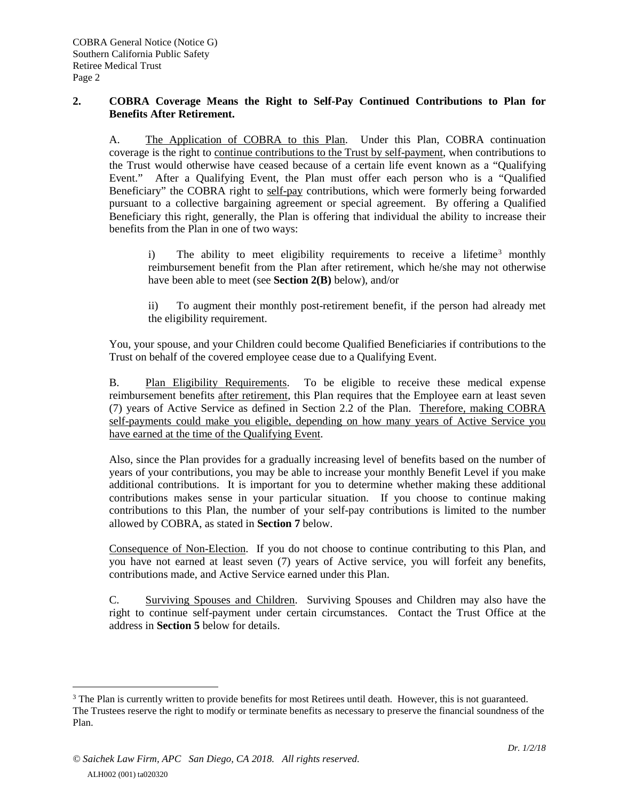## **2. COBRA Coverage Means the Right to Self-Pay Continued Contributions to Plan for Benefits After Retirement.**

A. The Application of COBRA to this Plan. Under this Plan, COBRA continuation coverage is the right to continue contributions to the Trust by self-payment, when contributions to the Trust would otherwise have ceased because of a certain life event known as a "Qualifying Event." After a Qualifying Event, the Plan must offer each person who is a "Qualified Beneficiary" the COBRA right to self-pay contributions, which were formerly being forwarded pursuant to a collective bargaining agreement or special agreement. By offering a Qualified Beneficiary this right, generally, the Plan is offering that individual the ability to increase their benefits from the Plan in one of two ways:

i) The ability to meet eligibility requirements to receive a lifetime<sup>[3](#page-1-0)</sup> monthly reimbursement benefit from the Plan after retirement, which he/she may not otherwise have been able to meet (see **Section 2(B)** below), and/or

ii) To augment their monthly post-retirement benefit, if the person had already met the eligibility requirement.

You, your spouse, and your Children could become Qualified Beneficiaries if contributions to the Trust on behalf of the covered employee cease due to a Qualifying Event.

B. Plan Eligibility Requirements. To be eligible to receive these medical expense reimbursement benefits after retirement, this Plan requires that the Employee earn at least seven (7) years of Active Service as defined in Section 2.2 of the Plan. Therefore, making COBRA self-payments could make you eligible, depending on how many years of Active Service you have earned at the time of the Qualifying Event.

Also, since the Plan provides for a gradually increasing level of benefits based on the number of years of your contributions, you may be able to increase your monthly Benefit Level if you make additional contributions. It is important for you to determine whether making these additional contributions makes sense in your particular situation. If you choose to continue making contributions to this Plan, the number of your self-pay contributions is limited to the number allowed by COBRA, as stated in **Section 7** below.

Consequence of Non-Election. If you do not choose to continue contributing to this Plan, and you have not earned at least seven (7) years of Active service, you will forfeit any benefits, contributions made, and Active Service earned under this Plan.

C. Surviving Spouses and Children. Surviving Spouses and Children may also have the right to continue self-payment under certain circumstances. Contact the Trust Office at the address in **Section 5** below for details.

 $\overline{a}$ 

<span id="page-1-0"></span><sup>&</sup>lt;sup>3</sup> The Plan is currently written to provide benefits for most Retirees until death. However, this is not guaranteed. The Trustees reserve the right to modify or terminate benefits as necessary to preserve the financial soundness of the Plan.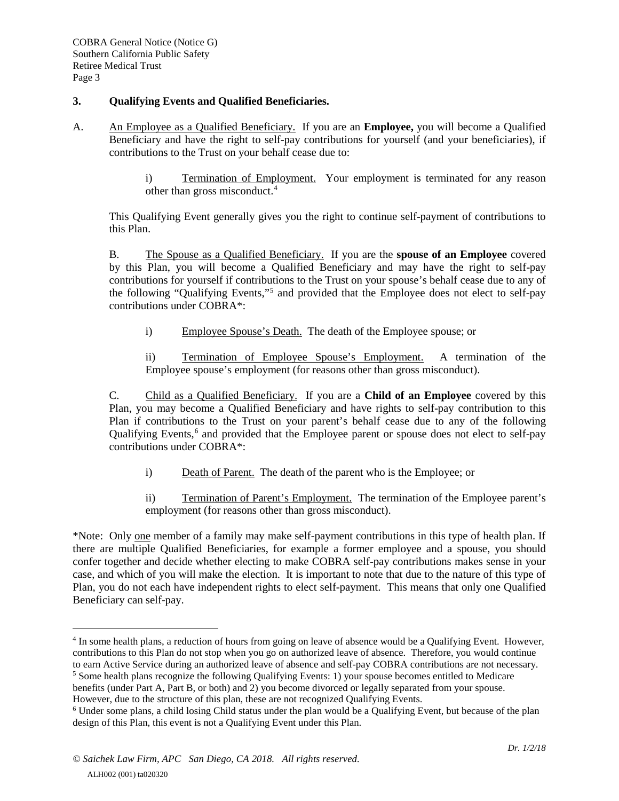## **3. Qualifying Events and Qualified Beneficiaries.**

- A. An Employee as a Qualified Beneficiary. If you are an **Employee,** you will become a Qualified Beneficiary and have the right to self-pay contributions for yourself (and your beneficiaries), if contributions to the Trust on your behalf cease due to:
	- i) Termination of Employment. Your employment is terminated for any reason other than gross misconduct.<sup>[4](#page-2-0)</sup>

This Qualifying Event generally gives you the right to continue self-payment of contributions to this Plan.

B. The Spouse as a Qualified Beneficiary. If you are the **spouse of an Employee** covered by this Plan, you will become a Qualified Beneficiary and may have the right to self-pay contributions for yourself if contributions to the Trust on your spouse's behalf cease due to any of the following "Qualifying Events,"[5](#page-2-1) and provided that the Employee does not elect to self-pay contributions under COBRA\*:

i) Employee Spouse's Death. The death of the Employee spouse; or

ii) Termination of Employee Spouse's Employment. A termination of the Employee spouse's employment (for reasons other than gross misconduct).

C. Child as a Qualified Beneficiary. If you are a **Child of an Employee** covered by this Plan, you may become a Qualified Beneficiary and have rights to self-pay contribution to this Plan if contributions to the Trust on your parent's behalf cease due to any of the following Qualifying Events,<sup>[6](#page-2-2)</sup> and provided that the Employee parent or spouse does not elect to self-pay contributions under COBRA\*:

i) Death of Parent. The death of the parent who is the Employee; or

ii) Termination of Parent's Employment. The termination of the Employee parent's employment (for reasons other than gross misconduct).

\*Note: Only one member of a family may make self-payment contributions in this type of health plan. If there are multiple Qualified Beneficiaries, for example a former employee and a spouse, you should confer together and decide whether electing to make COBRA self-pay contributions makes sense in your case, and which of you will make the election. It is important to note that due to the nature of this type of Plan, you do not each have independent rights to elect self-payment. This means that only one Qualified Beneficiary can self-pay.

 $\overline{a}$ 

<span id="page-2-0"></span><sup>&</sup>lt;sup>4</sup> In some health plans, a reduction of hours from going on leave of absence would be a Qualifying Event. However, contributions to this Plan do not stop when you go on authorized leave of absence. Therefore, you would continue to earn Active Service during an authorized leave of absence and self-pay COBRA contributions are not necessa <sup>5</sup> Some health plans recognize the following Qualifying Events: 1) your spouse becomes entitled to Medicare

<span id="page-2-1"></span>benefits (under Part A, Part B, or both) and 2) you become divorced or legally separated from your spouse.

However, due to the structure of this plan, these are not recognized Qualifying Events.

<span id="page-2-2"></span><sup>6</sup> Under some plans, a child losing Child status under the plan would be a Qualifying Event, but because of the plan design of this Plan, this event is not a Qualifying Event under this Plan.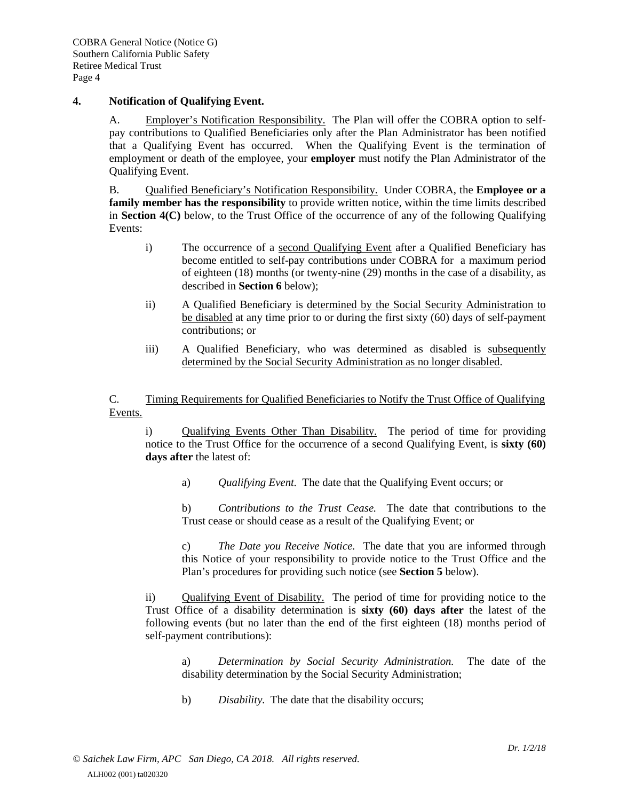#### **4. Notification of Qualifying Event.**

A. Employer's Notification Responsibility. The Plan will offer the COBRA option to selfpay contributions to Qualified Beneficiaries only after the Plan Administrator has been notified that a Qualifying Event has occurred. When the Qualifying Event is the termination of employment or death of the employee, your **employer** must notify the Plan Administrator of the Qualifying Event.

B. Qualified Beneficiary's Notification Responsibility. Under COBRA, the **Employee or a family member has the responsibility** to provide written notice, within the time limits described in **Section 4(C)** below, to the Trust Office of the occurrence of any of the following Qualifying Events:

- i) The occurrence of a second Qualifying Event after a Qualified Beneficiary has become entitled to self-pay contributions under COBRA for a maximum period of eighteen (18) months (or twenty-nine (29) months in the case of a disability, as described in **Section 6** below);
- ii) A Qualified Beneficiary is determined by the Social Security Administration to be disabled at any time prior to or during the first sixty (60) days of self-payment contributions; or
- iii) A Qualified Beneficiary, who was determined as disabled is subsequently determined by the Social Security Administration as no longer disabled.

C. Timing Requirements for Qualified Beneficiaries to Notify the Trust Office of Qualifying Events.

i) Qualifying Events Other Than Disability. The period of time for providing notice to the Trust Office for the occurrence of a second Qualifying Event, is **sixty (60) days after** the latest of:

a) *Qualifying Event.* The date that the Qualifying Event occurs; or

b) *Contributions to the Trust Cease.* The date that contributions to the Trust cease or should cease as a result of the Qualifying Event; or

c) *The Date you Receive Notice.* The date that you are informed through this Notice of your responsibility to provide notice to the Trust Office and the Plan's procedures for providing such notice (see **Section 5** below).

ii) Qualifying Event of Disability. The period of time for providing notice to the Trust Office of a disability determination is **sixty (60) days after** the latest of the following events (but no later than the end of the first eighteen (18) months period of self-payment contributions):

a) *Determination by Social Security Administration.* The date of the disability determination by the Social Security Administration;

b) *Disability.* The date that the disability occurs;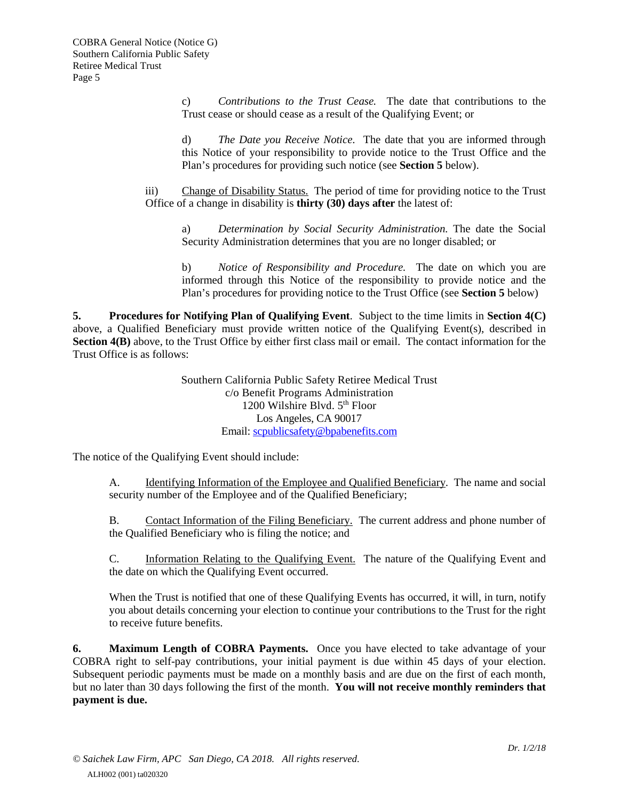c) *Contributions to the Trust Cease.* The date that contributions to the Trust cease or should cease as a result of the Qualifying Event; or

d) *The Date you Receive Notice.* The date that you are informed through this Notice of your responsibility to provide notice to the Trust Office and the Plan's procedures for providing such notice (see **Section 5** below).

iii) Change of Disability Status. The period of time for providing notice to the Trust Office of a change in disability is **thirty (30) days after** the latest of:

a) *Determination by Social Security Administration.* The date the Social Security Administration determines that you are no longer disabled; or

b) *Notice of Responsibility and Procedure.* The date on which you are informed through this Notice of the responsibility to provide notice and the Plan's procedures for providing notice to the Trust Office (see **Section 5** below)

**5. Procedures for Notifying Plan of Qualifying Event**. Subject to the time limits in **Section 4(C)** above, a Qualified Beneficiary must provide written notice of the Qualifying Event(s), described in **Section 4(B)** above, to the Trust Office by either first class mail or email. The contact information for the Trust Office is as follows:

> Southern California Public Safety Retiree Medical Trust c/o Benefit Programs Administration 1200 Wilshire Blvd. 5<sup>th</sup> Floor Los Angeles, CA 90017 Email: [scpublicsafety@bpabenefits.com](mailto:scpublicsafety@bpabenefits.com)

The notice of the Qualifying Event should include:

A. Identifying Information of the Employee and Qualified Beneficiary. The name and social security number of the Employee and of the Qualified Beneficiary;

B. Contact Information of the Filing Beneficiary. The current address and phone number of the Qualified Beneficiary who is filing the notice; and

C. Information Relating to the Qualifying Event. The nature of the Qualifying Event and the date on which the Qualifying Event occurred.

When the Trust is notified that one of these Qualifying Events has occurred, it will, in turn, notify you about details concerning your election to continue your contributions to the Trust for the right to receive future benefits.

**6. Maximum Length of COBRA Payments.** Once you have elected to take advantage of your COBRA right to self-pay contributions, your initial payment is due within 45 days of your election. Subsequent periodic payments must be made on a monthly basis and are due on the first of each month, but no later than 30 days following the first of the month. **You will not receive monthly reminders that payment is due.**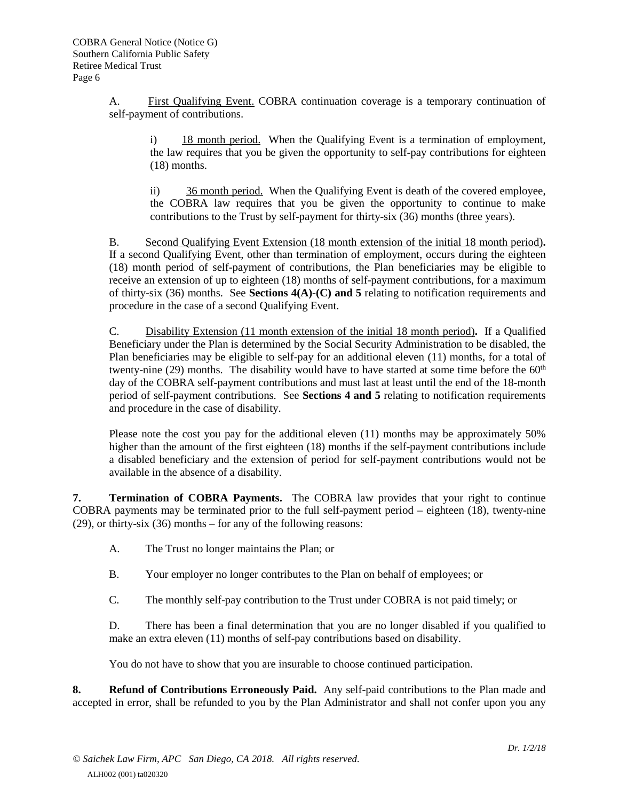A. First Qualifying Event. COBRA continuation coverage is a temporary continuation of self-payment of contributions.

i) 18 month period. When the Qualifying Event is a termination of employment, the law requires that you be given the opportunity to self-pay contributions for eighteen (18) months.

ii) 36 month period. When the Qualifying Event is death of the covered employee, the COBRA law requires that you be given the opportunity to continue to make contributions to the Trust by self-payment for thirty-six (36) months (three years).

B. Second Qualifying Event Extension (18 month extension of the initial 18 month period)**.**  If a second Qualifying Event, other than termination of employment, occurs during the eighteen (18) month period of self-payment of contributions, the Plan beneficiaries may be eligible to receive an extension of up to eighteen (18) months of self-payment contributions, for a maximum of thirty-six (36) months. See **Sections 4(A)-(C) and 5** relating to notification requirements and procedure in the case of a second Qualifying Event.

C. Disability Extension (11 month extension of the initial 18 month period)**.** If a Qualified Beneficiary under the Plan is determined by the Social Security Administration to be disabled, the Plan beneficiaries may be eligible to self-pay for an additional eleven (11) months, for a total of twenty-nine (29) months. The disability would have to have started at some time before the  $60<sup>th</sup>$ day of the COBRA self-payment contributions and must last at least until the end of the 18-month period of self-payment contributions. See **Sections 4 and 5** relating to notification requirements and procedure in the case of disability.

Please note the cost you pay for the additional eleven (11) months may be approximately 50% higher than the amount of the first eighteen (18) months if the self-payment contributions include a disabled beneficiary and the extension of period for self-payment contributions would not be available in the absence of a disability.

**7. Termination of COBRA Payments.** The COBRA law provides that your right to continue COBRA payments may be terminated prior to the full self-payment period – eighteen (18), twenty-nine (29), or thirty-six (36) months – for any of the following reasons:

- A. The Trust no longer maintains the Plan; or
- B. Your employer no longer contributes to the Plan on behalf of employees; or
- C. The monthly self-pay contribution to the Trust under COBRA is not paid timely; or

D. There has been a final determination that you are no longer disabled if you qualified to make an extra eleven (11) months of self-pay contributions based on disability.

You do not have to show that you are insurable to choose continued participation.

**8. Refund of Contributions Erroneously Paid.** Any self-paid contributions to the Plan made and accepted in error, shall be refunded to you by the Plan Administrator and shall not confer upon you any